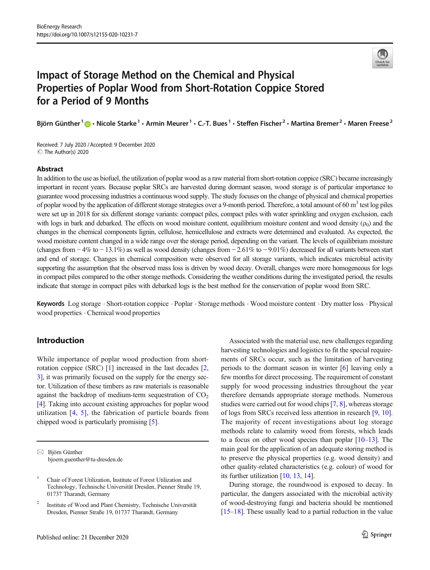

# Impact of Storage Method on the Chemical and Physical Properties of Poplar Wood from Short-Rotation Coppice Stored for a Period of 9 Months

Björn Günther  $1\oplus \cdot$  Nicole Starke  $1\cdot$  Armin Meurer  $1\cdot$  C.-T. Bues  $1\cdot$  Steffen Fischer  $2\cdot$  Martina Bremer  $2\cdot$  Maren Freese  $2$ 

Received: 7 July 2020 /Accepted: 9 December 2020 C The Author(s) 2020

#### Abstract

In addition to the use as biofuel, the utilization of poplar wood as a raw material from short-rotation coppice (SRC) became increasingly important in recent years. Because poplar SRCs are harvested during dormant season, wood storage is of particular importance to guarantee wood processing industries a continuous wood supply. The study focuses on the change of physical and chemical properties of poplar wood by the application of different storage strategies over a 9-month period. Therefore, a total amount of 60  $m<sup>3</sup>$  test log piles were set up in 2018 for six different storage variants: compact piles, compact piles with water sprinkling and oxygen exclusion, each with logs in bark and debarked. The effects on wood moisture content, equilibrium moisture content and wood density  $(\rho_0)$  and the changes in the chemical components lignin, cellulose, hemicellulose and extracts were determined and evaluated. As expected, the wood moisture content changed in a wide range over the storage period, depending on the variant. The levels of equilibrium moisture (changes from − 4% to − 13.1%) as well as wood density (changes from − 2.61% to − 9.01%) decreased for all variants between start and end of storage. Changes in chemical composition were observed for all storage variants, which indicates microbial activity supporting the assumption that the observed mass loss is driven by wood decay. Overall, changes were more homogeneous for logs in compact piles compared to the other storage methods. Considering the weather conditions during the investigated period, the results indicate that storage in compact piles with debarked logs is the best method for the conservation of poplar wood from SRC.

Keywords Log storage . Short-rotation coppice . Poplar . Storage methods . Wood moisture content . Dry matter loss . Physical wood properties . Chemical wood properties

# Introduction

While importance of poplar wood production from shortrotation coppice (SRC) [[1\]](#page-11-0) increased in the last decades [[2,](#page-11-0) [3\]](#page-11-0), it was primarily focused on the supply for the energy sector. Utilization of these timbers as raw materials is reasonable against the backdrop of medium-term sequestration of  $CO<sub>2</sub>$ [\[4](#page-11-0)]. Taking into account existing approaches for poplar wood utilization [[4](#page-11-0), [5\]](#page-11-0), the fabrication of particle boards from chipped wood is particularly promising [[5\]](#page-11-0).

Associated with the material use, new challenges regarding harvesting technologies and logistics to fit the special requirements of SRCs occur, such as the limitation of harvesting periods to the dormant season in winter [\[6](#page-11-0)] leaving only a few months for direct processing. The requirement of constant supply for wood processing industries throughout the year therefore demands appropriate storage methods. Numerous studies were carried out for wood chips [\[7,](#page-11-0) [8](#page-11-0)], whereas storage of logs from SRCs received less attention in research [[9,](#page-11-0) [10\]](#page-11-0). The majority of recent investigations about log storage methods relate to calamity wood from forests, which leads to a focus on other wood species than poplar [\[10](#page-11-0)–[13\]](#page-11-0). The main goal for the application of an adequate storing method is to preserve the physical properties (e.g. wood density) and other quality-related characteristics (e.g. colour) of wood for its further utilization [\[10,](#page-11-0) [13,](#page-11-0) [14\]](#page-11-0).

During storage, the roundwood is exposed to decay. In particular, the dangers associated with the microbial activity of wood-destroying fungi and bacteria should be mentioned [\[15](#page-11-0)–[18\]](#page-11-0). These usually lead to a partial reduction in the value

 $\boxtimes$  Björn Günther [bjoern.guenther@tu-dresden.de](mailto:bjoern.guenther@tu-dresden.de)

<sup>&</sup>lt;sup>1</sup> Chair of Forest Utilization, Institute of Forest Utilization and Technology, Technische Universität Dresden, Pienner Straße 19, 01737 Tharandt, Germany

<sup>2</sup> Institute of Wood and Plant Chemistry, Technische Universität Dresden, Pienner Straße 19, 01737 Tharandt, Germany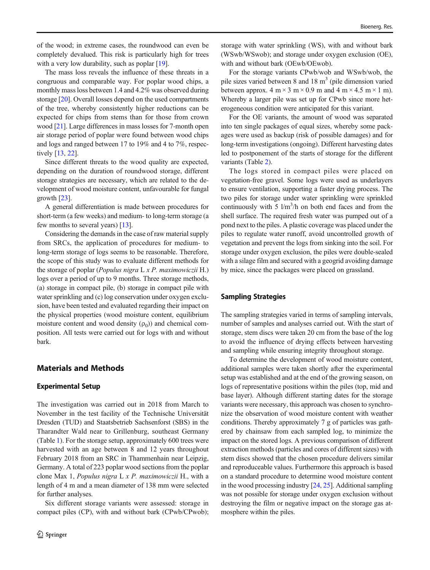of the wood; in extreme cases, the roundwood can even be completely devalued. This risk is particularly high for trees with a very low durability, such as poplar [\[19\]](#page-11-0).

The mass loss reveals the influence of these threats in a congruous and comparable way. For poplar wood chips, a monthly mass loss between 1.4 and 4.2% was observed during storage [\[20\]](#page-11-0). Overall losses depend on the used compartments of the tree, whereby consistently higher reductions can be expected for chips from stems than for those from crown wood [\[21\]](#page-11-0). Large differences in mass losses for 7-month open air storage period of poplar were found between wood chips and logs and ranged between 17 to 19% and 4 to 7%, respectively [[13](#page-11-0), [22](#page-11-0)].

Since different threats to the wood quality are expected, depending on the duration of roundwood storage, different storage strategies are necessary, which are related to the development of wood moisture content, unfavourable for fungal growth [\[23](#page-11-0)].

A general differentiation is made between procedures for short-term (a few weeks) and medium- to long-term storage (a few months to several years) [[13\]](#page-11-0).

Considering the demands in the case of raw material supply from SRCs, the application of procedures for medium- to long-term storage of logs seems to be reasonable. Therefore, the scope of this study was to evaluate different methods for the storage of poplar (Populus nigra  $L \times P$ . maximowiczii H.) logs over a period of up to 9 months. Three storage methods, (a) storage in compact pile, (b) storage in compact pile with water sprinkling and (c) log conservation under oxygen exclusion, have been tested and evaluated regarding their impact on the physical properties (wood moisture content, equilibrium moisture content and wood density  $(\rho_0)$  and chemical composition. All tests were carried out for logs with and without bark.

## Materials and Methods

#### Experimental Setup

The investigation was carried out in 2018 from March to November in the test facility of the Technische Universität Dresden (TUD) and Staatsbetrieb Sachsenforst (SBS) in the Tharandter Wald near to Grillenburg, southeast Germany (Table [1](#page-2-0)). For the storage setup, approximately 600 trees were harvested with an age between 8 and 12 years throughout February 2018 from an SRC in Thammenhain near Leipzig, Germany. A total of 223 poplar wood sections from the poplar clone Max 1, Populus nigra L x P. maximowiczii H., with a length of 4 m and a mean diameter of 138 mm were selected for further analyses.

Six different storage variants were assessed: storage in compact piles (CP), with and without bark (CPwb/CPwob); storage with water sprinkling (WS), with and without bark (WSwb/WSwob); and storage under oxygen exclusion (OE), with and without bark (OEwb/OEwob).

For the storage variants CPwb/wob and WSwb/wob, the pile sizes varied between 8 and  $18 \text{ m}^3$  (pile dimension varied between approx.  $4 \text{ m} \times 3 \text{ m} \times 0.9 \text{ m}$  and  $4 \text{ m} \times 4.5 \text{ m} \times 1 \text{ m}$ ). Whereby a larger pile was set up for CPwb since more heterogeneous condition were anticipated for this variant.

For the OE variants, the amount of wood was separated into ten single packages of equal sizes, whereby some packages were used as backup (risk of possible damages) and for long-term investigations (ongoing). Different harvesting dates led to postponement of the starts of storage for the different variants (Table [2\)](#page-2-0).

The logs stored in compact piles were placed on vegetation-free gravel. Some logs were used as underlayers to ensure ventilation, supporting a faster drying process. The two piles for storage under water sprinkling were sprinkled continuously with 5  $1/m^3/h$  on both end faces and from the shell surface. The required fresh water was pumped out of a pond next to the piles. A plastic coverage was placed under the piles to regulate water runoff, avoid uncontrolled growth of vegetation and prevent the logs from sinking into the soil. For storage under oxygen exclusion, the piles were double-sealed with a silage film and secured with a geogrid avoiding damage by mice, since the packages were placed on grassland.

#### Sampling Strategies

The sampling strategies varied in terms of sampling intervals, number of samples and analyses carried out. With the start of storage, stem discs were taken 20 cm from the base of the log to avoid the influence of drying effects between harvesting and sampling while ensuring integrity throughout storage.

To determine the development of wood moisture content, additional samples were taken shortly after the experimental setup was established and at the end of the growing season, on logs of representative positions within the piles (top, mid and base layer). Although different starting dates for the storage variants were necessary, this approach was chosen to synchronize the observation of wood moisture content with weather conditions. Thereby approximately 7 g of particles was gathered by chainsaw from each sampled log, to minimize the impact on the stored logs. A previous comparison of different extraction methods (particles and cores of different sizes) with stem discs showed that the chosen procedure delivers similar and reproduceable values. Furthermore this approach is based on a standard procedure to determine wood moisture content in the wood processing industry [[24](#page-11-0), [25\]](#page-11-0). Additional sampling was not possible for storage under oxygen exclusion without destroying the film or negative impact on the storage gas atmosphere within the piles.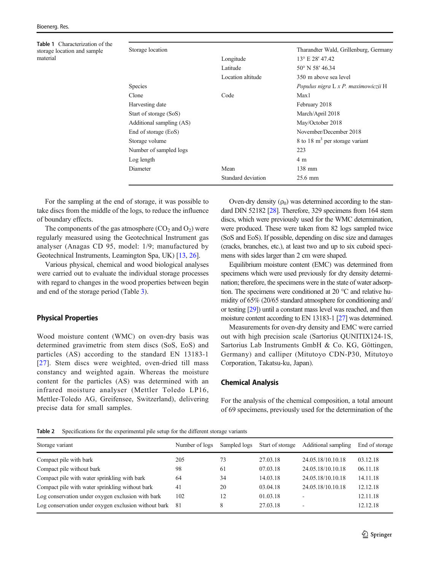<span id="page-2-0"></span>Table 1 Characterization of the storage location and sample material

| Storage location         |                    | Tharandter Wald, Grillenburg, Germany |
|--------------------------|--------------------|---------------------------------------|
|                          | Longitude          | 13° E 28' 47.42                       |
|                          | Latitude           | 50° N 58' 46.34                       |
|                          | Location altitude  | 350 m above sea level                 |
| <b>Species</b>           |                    | Populus nigra L x P. maximowiczii H   |
| Clone                    | Code               | Max1                                  |
| Harvesting date          |                    | February 2018                         |
| Start of storage (SoS)   |                    | March/April 2018                      |
| Additional sampling (AS) |                    | May/October 2018                      |
| End of storage (EoS)     |                    | November/December 2018                |
| Storage volume           |                    | 8 to 18 $m3$ per storage variant      |
| Number of sampled logs   |                    | 223                                   |
| Log length               |                    | 4 <sub>m</sub>                        |
| Diameter                 | Mean               | $138$ mm                              |
|                          | Standard deviation | $25.6 \; \text{mm}$                   |
|                          |                    |                                       |

For the sampling at the end of storage, it was possible to take discs from the middle of the logs, to reduce the influence of boundary effects.

The components of the gas atmosphere  $(CO<sub>2</sub>$  and  $O<sub>2</sub>)$  were regularly measured using the Geotechnical Instrument gas analyser (Anagas CD 95, model: 1/9; manufactured by Geotechnical Instruments, Leamington Spa, UK) [\[13](#page-11-0), [26](#page-11-0)].

Various physical, chemical and wood biological analyses were carried out to evaluate the individual storage processes with regard to changes in the wood properties between begin and end of the storage period (Table [3](#page-3-0)).

## Physical Properties

Wood moisture content (WMC) on oven-dry basis was determined gravimetric from stem discs (SoS, EoS) and particles (AS) according to the standard EN 13183-1 [\[27\]](#page-11-0). Stem discs were weighted, oven-dried till mass constancy and weighted again. Whereas the moisture content for the particles (AS) was determined with an infrared moisture analyser (Mettler Toledo LP16, Mettler-Toledo AG, Greifensee, Switzerland), delivering precise data for small samples.

Oven-dry density  $(\rho_0)$  was determined according to the standard DIN 52182 [\[28\]](#page-11-0). Therefore, 329 specimens from 164 stem discs, which were previously used for the WMC determination, were produced. These were taken from 82 logs sampled twice (SoS and EoS). If possible, depending on disc size and damages (cracks, branches, etc.), at least two and up to six cuboid specimens with sides larger than 2 cm were shaped.

Equilibrium moisture content (EMC) was determined from specimens which were used previously for dry density determination; therefore, the specimens were in the state of water adsorption. The specimens were conditioned at 20 °C and relative humidity of 65% (20/65 standard atmosphere for conditioning and/ or testing [[29\]](#page-11-0)) until a constant mass level was reached, and then moisture content according to EN 13183-1 [\[27](#page-11-0)] was determined.

Measurements for oven-dry density and EMC were carried out with high precision scale (Sartorius QUNITIX124-1S, Sartorius Lab Instruments GmbH & Co. KG, Göttingen, Germany) and calliper (Mitutoyo CDN-P30, Mitutoyo Corporation, Takatsu-ku, Japan).

## Chemical Analysis

For the analysis of the chemical composition, a total amount of 69 specimens, previously used for the determination of the

Table 2 Specifications for the experimental pile setup for the different storage variants

| Storage variant                                      | Number of logs | Sampled logs | Start of storage | Additional sampling | End of storage |
|------------------------------------------------------|----------------|--------------|------------------|---------------------|----------------|
| Compact pile with bark                               | 205            | 73           | 27.03.18         | 24.05.18/10.10.18   | 03.12.18       |
| Compact pile without bark                            | 98             | 61           | 07.03.18         | 24.05.18/10.10.18   | 06.11.18       |
| Compact pile with water sprinkling with bark         | 64             | 34           | 14.03.18         | 24.05.18/10.10.18   | 14.11.18       |
| Compact pile with water sprinkling without bark      | 41             | 20           | 03.04.18         | 24.05.18/10.10.18   | 12.12.18       |
| Log conservation under oxygen exclusion with bark    | 102            | 12           | 01.03.18         |                     | 12.11.18       |
| Log conservation under oxygen exclusion without bark | -81            | 8            | 27.03.18         |                     | 12.12.18       |
|                                                      |                |              |                  |                     |                |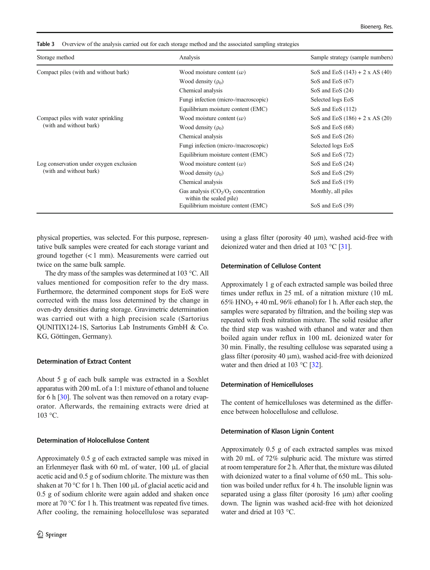| Storage method                          | Analysis                                                         | Sample strategy (sample numbers)       |
|-----------------------------------------|------------------------------------------------------------------|----------------------------------------|
| Compact piles (with and without bark)   | Wood moisture content $(\omega)$                                 | SoS and EoS $(143) + 2 \times AS$ (40) |
|                                         | Wood density $(\rho_0)$                                          | SoS and EoS $(67)$                     |
|                                         | Chemical analysis                                                | SoS and EoS $(24)$                     |
|                                         | Fungi infection (micro-/macroscopic)                             | Selected logs EoS                      |
|                                         | Equilibrium moisture content (EMC)                               | SoS and EoS $(112)$                    |
| Compact piles with water sprinkling     | Wood moisture content $(\omega)$                                 | SoS and EoS $(186) + 2 \times AS(20)$  |
|                                         | Wood density $(\rho_0)$                                          | SoS and EoS $(68)$                     |
|                                         | Chemical analysis                                                | SoS and EoS $(26)$                     |
| (with and without bark)                 | Fungi infection (micro-/macroscopic)                             | Selected logs EoS                      |
|                                         | Equilibrium moisture content (EMC)                               | SoS and EoS (72)                       |
| Log conservation under oxygen exclusion | Wood moisture content $(\omega)$                                 | SoS and EoS $(24)$                     |
| (with and without bark)                 | Wood density $(\rho_0)$                                          | SoS and EoS $(29)$                     |
|                                         | Chemical analysis                                                | SoS and EoS $(19)$                     |
|                                         | Gas analysis $(CO2/O2)$ concentration<br>within the sealed pile) | Monthly, all piles                     |
|                                         | Equilibrium moisture content (EMC)                               | SoS and EoS (39)                       |

<span id="page-3-0"></span>Table 3 Overview of the analysis carried out for each storage method and the associated sampling strategies

physical properties, was selected. For this purpose, representative bulk samples were created for each storage variant and ground together (< 1 mm). Measurements were carried out twice on the same bulk sample.

The dry mass of the samples was determined at 103 °C. All values mentioned for composition refer to the dry mass. Furthermore, the determined component stops for EoS were corrected with the mass loss determined by the change in oven-dry densities during storage. Gravimetric determination was carried out with a high precision scale (Sartorius QUNITIX124-1S, Sartorius Lab Instruments GmbH & Co. KG, Göttingen, Germany).

## Determination of Extract Content

About 5 g of each bulk sample was extracted in a Soxhlet apparatus with 200 mL of a 1:1 mixture of ethanol and toluene for 6 h [\[30\]](#page-11-0). The solvent was then removed on a rotary evaporator. Afterwards, the remaining extracts were dried at 103 °C.

## Determination of Holocellulose Content

Approximately 0.5 g of each extracted sample was mixed in an Erlenmeyer flask with 60 mL of water, 100 μL of glacial acetic acid and 0.5 g of sodium chlorite. The mixture was then shaken at 70 °C for 1 h. Then 100 μL of glacial acetic acid and 0.5 g of sodium chlorite were again added and shaken once more at 70 °C for 1 h. This treatment was repeated five times. After cooling, the remaining holocellulose was separated using a glass filter (porosity 40 μm), washed acid-free with deionized water and then dried at 103 °C [\[31\]](#page-12-0).

## Determination of Cellulose Content

Approximately 1 g of each extracted sample was boiled three times under reflux in 25 mL of a nitration mixture (10 mL  $65\%$  HNO<sub>3</sub> + 40 mL 96% ethanol) for 1 h. After each step, the samples were separated by filtration, and the boiling step was repeated with fresh nitration mixture. The solid residue after the third step was washed with ethanol and water and then boiled again under reflux in 100 mL deionized water for 30 min. Finally, the resulting cellulose was separated using a glass filter (porosity 40 μm), washed acid-free with deionized water and then dried at 103 °C [[32\]](#page-12-0).

## Determination of Hemicelluloses

The content of hemicelluloses was determined as the difference between holocellulose and cellulose.

## Determination of Klason Lignin Content

Approximately 0.5 g of each extracted samples was mixed with 20 mL of 72% sulphuric acid. The mixture was stirred at room temperature for 2 h. After that, the mixture was diluted with deionized water to a final volume of 650 mL. This solution was boiled under reflux for 4 h. The insoluble lignin was separated using a glass filter (porosity 16 μm) after cooling down. The lignin was washed acid-free with hot deionized water and dried at 103 °C.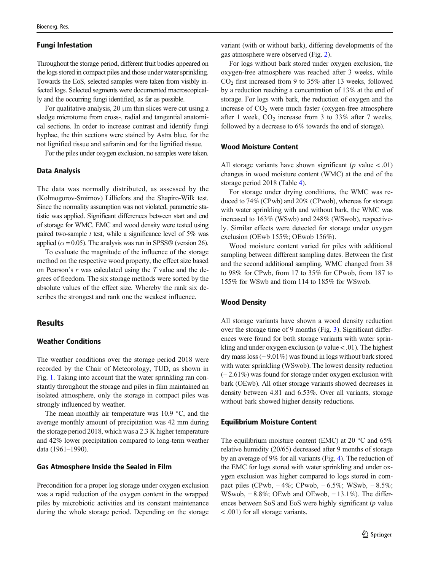## Fungi Infestation

Throughout the storage period, different fruit bodies appeared on the logs stored in compact piles and those under water sprinkling. Towards the EoS, selected samples were taken from visibly infected logs. Selected segments were documented macroscopically and the occurring fungi identified, as far as possible.

For qualitative analysis, 20 μm thin slices were cut using a sledge microtome from cross-, radial and tangential anatomical sections. In order to increase contrast and identify fungi hyphae, the thin sections were stained by Astra blue, for the not lignified tissue and safranin and for the lignified tissue.

For the piles under oxygen exclusion, no samples were taken.

#### Data Analysis

The data was normally distributed, as assessed by the (Kolmogorov-Smirnov) Lilliefors and the Shapiro-Wilk test. Since the normality assumption was not violated, parametric statistic was applied. Significant differences between start and end of storage for WMC, EMC and wood density were tested using paired two-sample  $t$  test, while a significance level of 5% was applied ( $\alpha$  = 0.05). The analysis was run in SPSS® (version 26).

To evaluate the magnitude of the influence of the storage method on the respective wood property, the effect size based on Pearson's  $r$  was calculated using the  $T$  value and the degrees of freedom. The six storage methods were sorted by the absolute values of the effect size. Whereby the rank six describes the strongest and rank one the weakest influence.

# **Results**

## Weather Conditions

The weather conditions over the storage period 2018 were recorded by the Chair of Meteorology, TUD, as shown in Fig. [1.](#page-5-0) Taking into account that the water sprinkling ran constantly throughout the storage and piles in film maintained an isolated atmosphere, only the storage in compact piles was strongly influenced by weather.

The mean monthly air temperature was 10.9 °C, and the average monthly amount of precipitation was 42 mm during the storage period 2018, which was a 2.3 K higher temperature and 42% lower precipitation compared to long-term weather data (1961–1990).

#### Gas Atmosphere Inside the Sealed in Film

Precondition for a proper log storage under oxygen exclusion was a rapid reduction of the oxygen content in the wrapped piles by microbiotic activities and its constant maintenance during the whole storage period. Depending on the storage

variant (with or without bark), differing developments of the gas atmosphere were observed (Fig. [2](#page-5-0)).

For logs without bark stored under oxygen exclusion, the oxygen-free atmosphere was reached after 3 weeks, while CO2 first increased from 9 to 35% after 13 weeks, followed by a reduction reaching a concentration of 13% at the end of storage. For logs with bark, the reduction of oxygen and the increase of  $CO<sub>2</sub>$  were much faster (oxygen-free atmosphere after 1 week,  $CO<sub>2</sub>$  increase from 3 to 33% after 7 weeks, followed by a decrease to 6% towards the end of storage).

## Wood Moisture Content

All storage variants have shown significant ( $p$  value < .01) changes in wood moisture content (WMC) at the end of the storage period 2018 (Table [4\)](#page-6-0).

For storage under drying conditions, the WMC was reduced to 74% (CPwb) and 20% (CPwob), whereas for storage with water sprinkling with and without bark, the WMC was increased to 163% (WSwb) and 248% (WSwob), respectively. Similar effects were detected for storage under oxygen exclusion (OEwb 155%; OEwob 156%).

Wood moisture content varied for piles with additional sampling between different sampling dates. Between the first and the second additional sampling, WMC changed from 38 to 98% for CPwb, from 17 to 35% for CPwob, from 187 to 155% for WSwb and from 114 to 185% for WSwob.

#### Wood Density

All storage variants have shown a wood density reduction over the storage time of 9 months (Fig. [3\)](#page-6-0). Significant differences were found for both storage variants with water sprinkling and under oxygen exclusion ( $p$  value < .01). The highest dry mass loss (− 9.01%) was found in logs without bark stored with water sprinkling (WSwob). The lowest density reduction (− 2.61%) was found for storage under oxygen exclusion with bark (OEwb). All other storage variants showed decreases in density between 4.81 and 6.53%. Over all variants, storage without bark showed higher density reductions.

#### Equilibrium Moisture Content

The equilibrium moisture content (EMC) at 20 °C and 65% relative humidity (20/65) decreased after 9 months of storage by an average of 9% for all variants (Fig. [4\)](#page-7-0). The reduction of the EMC for logs stored with water sprinkling and under oxygen exclusion was higher compared to logs stored in compact piles (CPwb, − 4%; CPwob, − 6.5%; WSwb, − 8.5%; WSwob, − 8.8%; OEwb and OEwob, − 13.1%). The differences between SoS and EoS were highly significant  $(p$  value < .001) for all storage variants.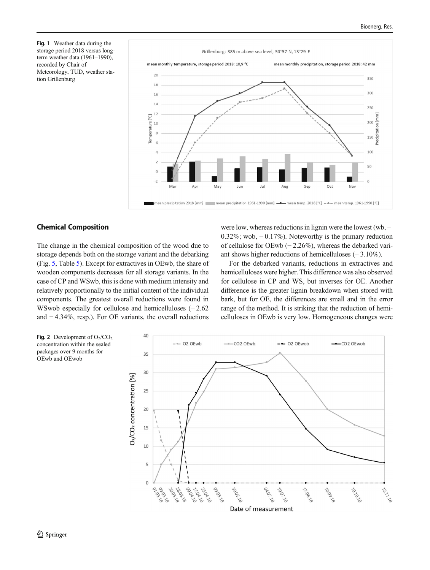<span id="page-5-0"></span>Fig. 1 Weather data during the storage period 2018 versus longterm weather data (1961–1990), recorded by Chair of Meteorology, TUD, weather station Grillenburg



## Chemical Composition

The change in the chemical composition of the wood due to storage depends both on the storage variant and the debarking (Fig. [5,](#page-8-0) Table [5\)](#page-7-0). Except for extractives in OEwb, the share of wooden components decreases for all storage variants. In the case of CP and WSwb, this is done with medium intensity and relatively proportionally to the initial content of the individual components. The greatest overall reductions were found in WSwob especially for cellulose and hemicelluloses (− 2.62 and − 4.34%, resp.). For OE variants, the overall reductions were low, whereas reductions in lignin were the lowest (wb, − 0.32%; wob, − 0.17%). Noteworthy is the primary reduction of cellulose for OEwb (− 2.26%), whereas the debarked variant shows higher reductions of hemicelluloses (− 3.10%).

For the debarked variants, reductions in extractives and hemicelluloses were higher. This difference was also observed for cellulose in CP and WS, but inverses for OE. Another difference is the greater lignin breakdown when stored with bark, but for OE, the differences are small and in the error range of the method. It is striking that the reduction of hemicelluloses in OEwb is very low. Homogeneous changes were

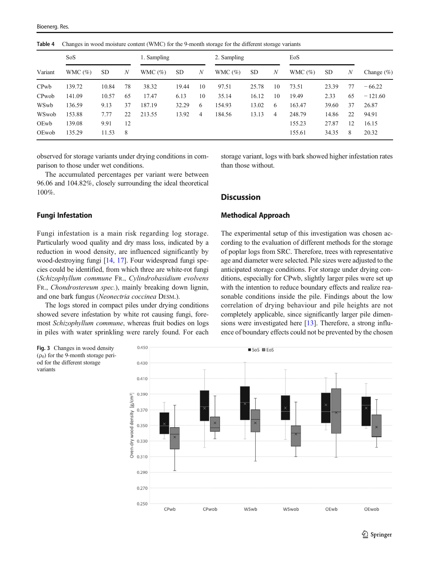<span id="page-6-0"></span>Table 4 Changes in wood moisture content (WMC) for the 9-month storage for the different storage variants

|                   | SoS        |           | 1. Sampling |            | 2. Sampling |                | EoS        |           |    |            |       |    |               |
|-------------------|------------|-----------|-------------|------------|-------------|----------------|------------|-----------|----|------------|-------|----|---------------|
| Variant           | WMC $(\%)$ | <b>SD</b> | N           | WMC $(\%)$ | <b>SD</b>   | N              | WMC $(\%)$ | <b>SD</b> | N  | WMC $(\%)$ | SD    | N  | Change $(\%)$ |
| CP <sub>w</sub> b | 139.72     | 10.84     | 78          | 38.32      | 19.44       | 10             | 97.51      | 25.78     | 10 | 73.51      | 23.39 | 77 | $-66.22$      |
| CPwob             | 141.09     | 10.57     | 65          | 17.47      | 6.13        | 10             | 35.14      | 16.12     | 10 | 19.49      | 2.33  | 65 | $-121.60$     |
| WSwb              | 136.59     | 9.13      | 37          | 187.19     | 32.29       | 6              | 154.93     | 13.02     | 6  | 163.47     | 39.60 | 37 | 26.87         |
| WSwob             | 153.88     | 7.77      | 22          | 213.55     | 13.92       | $\overline{4}$ | 184.56     | 13.13     | 4  | 248.79     | 14.86 | 22 | 94.91         |
| OEwb              | 139.08     | 9.91      | 12          |            |             |                |            |           |    | 155.23     | 27.87 | 12 | 16.15         |
| OEwob             | 135.29     | 11.53     | 8           |            |             |                |            |           |    | 155.61     | 34.35 | 8  | 20.32         |

observed for storage variants under drying conditions in comparison to those under wet conditions.

The accumulated percentages per variant were between 96.06 and 104.82%, closely surrounding the ideal theoretical 100%.

## Fungi Infestation

Fungi infestation is a main risk regarding log storage. Particularly wood quality and dry mass loss, indicated by a reduction in wood density, are influenced significantly by wood-destroying fungi [[14](#page-11-0), [17\]](#page-11-0). Four widespread fungi species could be identified, from which three are white-rot fungi (Schizophyllum commune FR., Cylindrobasidium evolvens FR., Chondrostereum spec.), mainly breaking down lignin, and one bark fungus (Neonectria coccinea DESM.).

The logs stored in compact piles under drying conditions showed severe infestation by white rot causing fungi, foremost Schizophyllum commune, whereas fruit bodies on logs in piles with water sprinkling were rarely found. For each

storage variant, logs with bark showed higher infestation rates than those without.

# **Discussion**

## Methodical Approach

The experimental setup of this investigation was chosen according to the evaluation of different methods for the storage of poplar logs from SRC. Therefore, trees with representative age and diameter were selected. Pile sizes were adjusted to the anticipated storage conditions. For storage under drying conditions, especially for CPwb, slightly larger piles were set up with the intention to reduce boundary effects and realize reasonable conditions inside the pile. Findings about the low correlation of drying behaviour and pile heights are not completely applicable, since significantly larger pile dimen-sions were investigated here [\[13\]](#page-11-0). Therefore, a strong influence of boundary effects could not be prevented by the chosen



Fig. 3 Changes in wood density  $(\rho_0)$  for the 9-month storage period for the different storage variants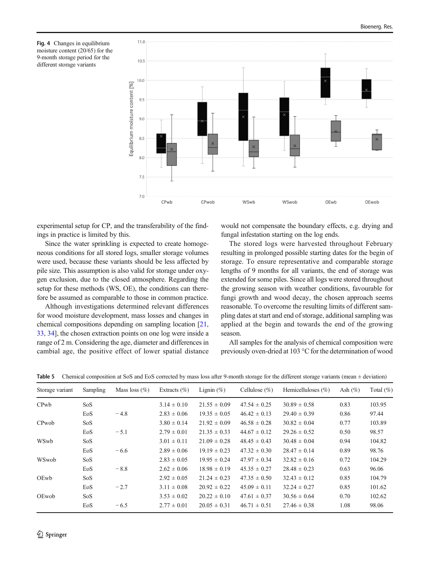<span id="page-7-0"></span>



experimental setup for CP, and the transferability of the findings in practice is limited by this.

Since the water sprinkling is expected to create homogeneous conditions for all stored logs, smaller storage volumes were used, because these variants should be less affected by pile size. This assumption is also valid for storage under oxygen exclusion, due to the closed atmosphere. Regarding the setup for these methods (WS, OE), the conditions can therefore be assumed as comparable to those in common practice.

Although investigations determined relevant differences for wood moisture development, mass losses and changes in chemical compositions depending on sampling location [[21,](#page-11-0) [33,](#page-12-0) [34\]](#page-12-0), the chosen extraction points on one log were inside a range of 2 m. Considering the age, diameter and differences in cambial age, the positive effect of lower spatial distance would not compensate the boundary effects, e.g. drying and fungal infestation starting on the log ends.

The stored logs were harvested throughout February resulting in prolonged possible starting dates for the begin of storage. To ensure representative and comparable storage lengths of 9 months for all variants, the end of storage was extended for some piles. Since all logs were stored throughout the growing season with weather conditions, favourable for fungi growth and wood decay, the chosen approach seems reasonable. To overcome the resulting limits of different sampling dates at start and end of storage, additional sampling was applied at the begin and towards the end of the growing season.

All samples for the analysis of chemical composition were previously oven-dried at 103 °C for the determination of wood

|  | <b>Table 5</b> Chemical composition at SoS and EoS corrected by mass loss after 9-month storage for the different storage variants (mean $\pm$ deviation) |  |  |  |
|--|-----------------------------------------------------------------------------------------------------------------------------------------------------------|--|--|--|
|--|-----------------------------------------------------------------------------------------------------------------------------------------------------------|--|--|--|

| Storage variant   | Sampling        | Mass loss $(\% )$ | Extracts $(\% )$ | Lignin $(\%)$    | Cellulose $(\%)$ | Hemicelluloses $(\% )$ | Ash $(\%)$ | Total $(\%)$ |
|-------------------|-----------------|-------------------|------------------|------------------|------------------|------------------------|------------|--------------|
| CP <sub>w</sub> b | SoS             |                   | $3.14 \pm 0.10$  | $21.55 \pm 0.09$ | $47.54 \pm 0.25$ | $30.89 \pm 0.58$       | 0.83       | 103.95       |
|                   | EoS             | $-4.8$            | $2.83 \pm 0.06$  | $19.35 \pm 0.05$ | $46.42 \pm 0.13$ | $29.40 \pm 0.39$       | 0.86       | 97.44        |
| CPwob             | SoS             |                   | $3.80 \pm 0.14$  | $21.92 \pm 0.09$ | $46.58 \pm 0.28$ | $30.82 \pm 0.04$       | 0.77       | 103.89       |
|                   | EoS             | $-5.1$            | $2.79 \pm 0.01$  | $21.35 \pm 0.33$ | $44.67 \pm 0.12$ | $29.26 \pm 0.52$       | 0.50       | 98.57        |
| WSwb              | SoS             |                   | $3.01 \pm 0.11$  | $21.09 \pm 0.28$ | $48.45 \pm 0.43$ | $30.48 \pm 0.04$       | 0.94       | 104.82       |
|                   | EoS             | $-6.6$            | $2.89 \pm 0.06$  | $19.19 \pm 0.23$ | $47.32 \pm 0.30$ | $28.47 \pm 0.14$       | 0.89       | 98.76        |
| WSwob             | SoS             |                   | $2.83 \pm 0.05$  | $19.95 \pm 0.24$ | $47.97 \pm 0.34$ | $32.82 \pm 0.16$       | 0.72       | 104.29       |
|                   | EoS             | $-8.8$            | $2.62 \pm 0.06$  | $18.98 \pm 0.19$ | $45.35 \pm 0.27$ | $28.48 \pm 0.23$       | 0.63       | 96.06        |
| OEwb              | SoS             |                   | $2.92 \pm 0.05$  | $21.24 \pm 0.23$ | $47.35 \pm 0.50$ | $32.43 \pm 0.12$       | 0.85       | 104.79       |
|                   | EoS             | $-2.7$            | $3.11 \pm 0.08$  | $20.92 \pm 0.22$ | $45.09 \pm 0.11$ | $32.24 \pm 0.27$       | 0.85       | 101.62       |
| OEwob             | So <sub>S</sub> |                   | $3.53 \pm 0.02$  | $20.22 \pm 0.10$ | $47.61 \pm 0.37$ | $30.56 \pm 0.64$       | 0.70       | 102.62       |
|                   | EoS             | $-6.5$            | $2.77 \pm 0.01$  | $20.05 \pm 0.31$ | $46.71 \pm 0.51$ | $27.46 \pm 0.38$       | 1.08       | 98.06        |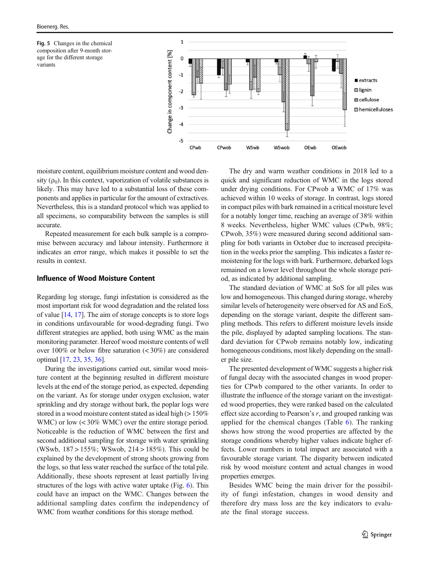<span id="page-8-0"></span>



moisture content, equilibrium moisture content and wood density  $(\rho_0)$ . In this context, vaporization of volatile substances is likely. This may have led to a substantial loss of these components and applies in particular for the amount of extractives. Nevertheless, this is a standard protocol which was applied to all specimens, so comparability between the samples is still accurate.

Repeated measurement for each bulk sample is a compromise between accuracy and labour intensity. Furthermore it indicates an error range, which makes it possible to set the results in context.

## Influence of Wood Moisture Content

Regarding log storage, fungi infestation is considered as the most important risk for wood degradation and the related loss of value [\[14,](#page-11-0) [17\]](#page-11-0). The aim of storage concepts is to store logs in conditions unfavourable for wood-degrading fungi. Two different strategies are applied, both using WMC as the main monitoring parameter. Hereof wood moisture contents of well over 100% or below fibre saturation (< 30%) are considered optimal [\[17](#page-11-0), [23,](#page-11-0) [35,](#page-12-0) [36\]](#page-12-0).

During the investigations carried out, similar wood moisture content at the beginning resulted in different moisture levels at the end of the storage period, as expected, depending on the variant. As for storage under oxygen exclusion, water sprinkling and dry storage without bark, the poplar logs were stored in a wood moisture content stated as ideal high (> 150%) WMC) or low  $(< 30\%$  WMC) over the entire storage period. Noticeable is the reduction of WMC between the first and second additional sampling for storage with water sprinkling (WSwb, 187 > 155%; WSwob, 214 > 185%). This could be explained by the development of strong shoots growing from the logs, so that less water reached the surface of the total pile. Additionally, these shoots represent at least partially living structures of the logs with active water uptake (Fig. [6](#page-9-0)). This could have an impact on the WMC. Changes between the additional sampling dates confirm the independency of WMC from weather conditions for this storage method.

The dry and warm weather conditions in 2018 led to a quick and significant reduction of WMC in the logs stored under drying conditions. For CPwob a WMC of 17% was achieved within 10 weeks of storage. In contrast, logs stored in compact piles with bark remained in a critical moisture level for a notably longer time, reaching an average of 38% within 8 weeks. Nevertheless, higher WMC values (CPwb, 98%; CPwob, 35%) were measured during second additional sampling for both variants in October due to increased precipitation in the weeks prior the sampling. This indicates a faster remoistening for the logs with bark. Furthermore, debarked logs remained on a lower level throughout the whole storage period, as indicated by additional sampling.

The standard deviation of WMC at SoS for all piles was low and homogeneous. This changed during storage, whereby similar levels of heterogeneity were observed for AS and EoS, depending on the storage variant, despite the different sampling methods. This refers to different moisture levels inside the pile, displayed by adapted sampling locations. The standard deviation for CPwob remains notably low, indicating homogeneous conditions, most likely depending on the smaller pile size.

The presented development of WMC suggests a higher risk of fungal decay with the associated changes in wood properties for CPwb compared to the other variants. In order to illustrate the influence of the storage variant on the investigated wood properties, they were ranked based on the calculated effect size according to Pearson's  $r$ , and grouped ranking was applied for the chemical changes (Table [6\)](#page-9-0). The ranking shows how strong the wood properties are affected by the storage conditions whereby higher values indicate higher effects. Lower numbers in total impact are associated with a favourable storage variant. The disparity between indicated risk by wood moisture content and actual changes in wood properties emerges.

Besides WMC being the main driver for the possibility of fungi infestation, changes in wood density and therefore dry mass loss are the key indicators to evaluate the final storage success.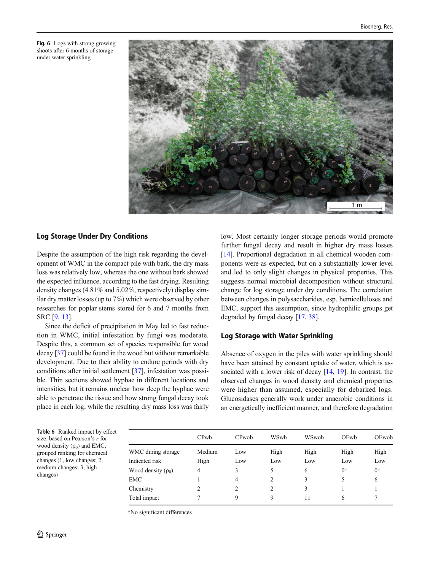<span id="page-9-0"></span>Fig. 6 Logs with strong growing shoots after 6 months of storage under water sprinkling



# Log Storage Under Dry Conditions

Despite the assumption of the high risk regarding the development of WMC in the compact pile with bark, the dry mass loss was relatively low, whereas the one without bark showed the expected influence, according to the fast drying. Resulting density changes (4.81% and 5.02%, respectively) display similar dry matter losses (up to 7%) which were observed by other researches for poplar stems stored for 6 and 7 months from SRC [\[9](#page-11-0), [13](#page-11-0)].

Since the deficit of precipitation in May led to fast reduction in WMC, initial infestation by fungi was moderate. Despite this, a common set of species responsible for wood decay [[37](#page-12-0)] could be found in the wood but without remarkable development. Due to their ability to endure periods with dry conditions after initial settlement [[37\]](#page-12-0), infestation was possible. Thin sections showed hyphae in different locations and intensities, but it remains unclear how deep the hyphae were able to penetrate the tissue and how strong fungal decay took place in each log, while the resulting dry mass loss was fairly low. Most certainly longer storage periods would promote further fungal decay and result in higher dry mass losses [\[14](#page-11-0)]. Proportional degradation in all chemical wooden components were as expected, but on a substantially lower level and led to only slight changes in physical properties. This suggests normal microbial decomposition without structural change for log storage under dry conditions. The correlation between changes in polysaccharides, esp. hemicelluloses and EMC, support this assumption, since hydrophilic groups get degraded by fungal decay [[17](#page-11-0), [38](#page-12-0)].

## Log Storage with Water Sprinkling

Absence of oxygen in the piles with water sprinkling should have been attained by constant uptake of water, which is as-sociated with a lower risk of decay [\[14](#page-11-0), [19\]](#page-11-0). In contrast, the observed changes in wood density and chemical properties were higher than assumed, especially for debarked logs. Glucosidases generally work under anaerobic conditions in an energetically inefficient manner, and therefore degradation

Table 6 Ranked impact by effect size, based on Pearson's  $r$  for wood density  $(\rho_0)$  and EMC, grouped ranking for chemical changes (1, low changes; 2, medium changes; 3, high changes)

|                         | CPwh   | CPwob | WSwb | WSwob | OEwb | OEwob |
|-------------------------|--------|-------|------|-------|------|-------|
| WMC during storage      | Medium | Low   | High | High  | High | High  |
| Indicated risk          | High   | Low   | Low  | Low   | Low  | Low   |
| Wood density $(\rho_0)$ | 4      | 3     | 5    | 6     | $0*$ | $0*$  |
| EMC                     |        | 4     | 2    | 3     | 5    | 6     |
| Chemistry               |        | 2     | 2    | 3     |      |       |
| Total impact            |        | 9     | 9    | 11    | 6    |       |

\*No significant differences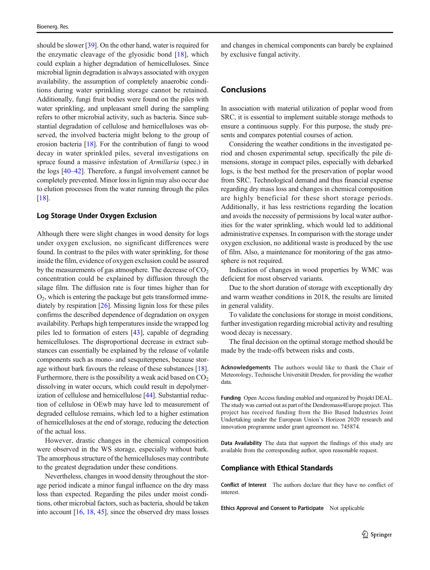should be slower [\[39](#page-12-0)]. On the other hand, water is required for the enzymatic cleavage of the glyosidic bond [\[18](#page-11-0)], which could explain a higher degradation of hemicelluloses. Since microbial lignin degradation is always associated with oxygen availability, the assumption of completely anaerobic conditions during water sprinkling storage cannot be retained. Additionally, fungi fruit bodies were found on the piles with water sprinkling, and unpleasant smell during the sampling refers to other microbial activity, such as bacteria. Since substantial degradation of cellulose and hemicelluloses was observed, the involved bacteria might belong to the group of erosion bacteria [[18](#page-11-0)]. For the contribution of fungi to wood decay in water sprinkled piles, several investigations on spruce found a massive infestation of Armillaria (spec.) in the logs [\[40](#page-12-0)–[42\]](#page-12-0). Therefore, a fungal involvement cannot be completely prevented. Minor loss in lignin may also occur due to elution processes from the water running through the piles [\[18\]](#page-11-0).

#### Log Storage Under Oxygen Exclusion

Although there were slight changes in wood density for logs under oxygen exclusion, no significant differences were found. In contrast to the piles with water sprinkling, for those inside the film, evidence of oxygen exclusion could be assured by the measurements of gas atmosphere. The decrease of  $CO<sub>2</sub>$ concentration could be explained by diffusion through the silage film. The diffusion rate is four times higher than for  $O<sub>2</sub>$ , which is entering the package but gets transformed immediately by respiration [\[26](#page-11-0)]. Missing lignin loss for these piles confirms the described dependence of degradation on oxygen availability. Perhaps high temperatures inside the wrapped log piles led to formation of esters [\[43](#page-12-0)], capable of degrading hemicelluloses. The disproportional decrease in extract substances can essentially be explained by the release of volatile components such as mono- and sesquiterpenes, because storage without bark favours the release of these substances [[18\]](#page-11-0). Furthermore, there is the possibility a weak acid based on  $CO<sub>2</sub>$ dissolving in water occurs, which could result in depolymer-ization of cellulose and hemicellulose [[44](#page-12-0)]. Substantial reduction of cellulose in OEwb may have led to measurement of degraded cellulose remains, which led to a higher estimation of hemicelluloses at the end of storage, reducing the detection of the actual loss.

However, drastic changes in the chemical composition were observed in the WS storage, especially without bark. The amorphous structure of the hemicelluloses may contribute to the greatest degradation under these conditions.

Nevertheless, changes in wood density throughout the storage period indicate a minor fungal influence on the dry mass loss than expected. Regarding the piles under moist conditions, other microbial factors, such as bacteria, should be taken into account [[16,](#page-11-0) [18,](#page-11-0) [45\]](#page-12-0), since the observed dry mass losses

and changes in chemical components can barely be explained by exclusive fungal activity.

# Conclusions

In association with material utilization of poplar wood from SRC, it is essential to implement suitable storage methods to ensure a continuous supply. For this purpose, the study presents and compares potential courses of action.

Considering the weather conditions in the investigated period and chosen experimental setup, specifically the pile dimensions, storage in compact piles, especially with debarked logs, is the best method for the preservation of poplar wood from SRC. Technological demand and thus financial expense regarding dry mass loss and changes in chemical composition are highly beneficial for these short storage periods. Additionally, it has less restrictions regarding the location and avoids the necessity of permissions by local water authorities for the water sprinkling, which would led to additional administrative expenses. In comparison with the storage under oxygen exclusion, no additional waste is produced by the use of film. Also, a maintenance for monitoring of the gas atmosphere is not required.

Indication of changes in wood properties by WMC was deficient for most observed variants.

Due to the short duration of storage with exceptionally dry and warm weather conditions in 2018, the results are limited in general validity.

To validate the conclusions for storage in moist conditions, further investigation regarding microbial activity and resulting wood decay is necessary.

The final decision on the optimal storage method should be made by the trade-offs between risks and costs.

Acknowledgements The authors would like to thank the Chair of Meteorology, Technische Universität Dresden, for providing the weather data.

Funding Open Access funding enabled and organized by Projekt DEAL. The study was carried out as part of the Dendromass4Europe project. This project has received funding from the Bio Based Industries Joint Undertaking under the European Union's Horizon 2020 research and innovation programme under grant agreement no. 745874.

Data Availability The data that support the findings of this study are available from the corresponding author, upon reasonable request.

#### Compliance with Ethical Standards

Conflict of Interest The authors declare that they have no conflict of interest.

Ethics Approval and Consent to Participate Not applicable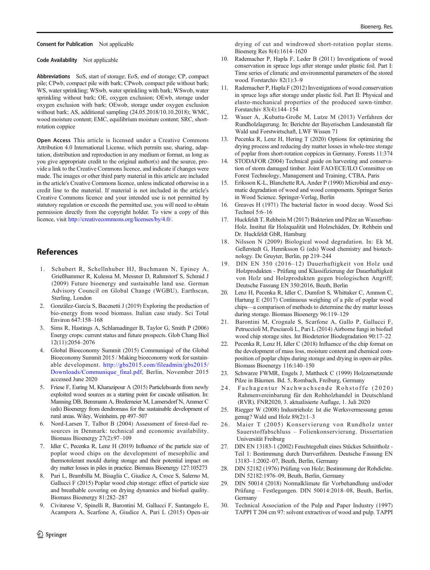<span id="page-11-0"></span>Consent for Publication Not applicable

Code Availability Not applicable

Abbreviations SoS, start of storage; EoS, end of storage; CP, compact pile; CPwb, compact pile with bark; CPwob, compact pile without bark; WS, water sprinkling; WSwb, water sprinkling with bark; WSwob, water sprinkling without bark; OE, oxygen exclusion; OEwb, storage under oxygen exclusion with bark; OEwob, storage under oxygen exclusion without bark; AS, additional sampling (24.05.2018/10.10.2018); WMC, wood moisture content; EMC, equilibrium moisture content; SRC, shortrotation coppice

Open Access This article is licensed under a Creative Commons Attribution 4.0 International License, which permits use, sharing, adaptation, distribution and reproduction in any medium or format, as long as you give appropriate credit to the original author(s) and the source, provide a link to the Creative Commons licence, and indicate if changes were made. The images or other third party material in this article are included in the article's Creative Commons licence, unless indicated otherwise in a credit line to the material. If material is not included in the article's Creative Commons licence and your intended use is not permitted by statutory regulation or exceeds the permitted use, you will need to obtain permission directly from the copyright holder. To view a copy of this licence, visit [http://creativecommons.org/licenses/by/4.0/](https://doi.org/).

## References

- 1. Schubert R, Schellnhuber HJ, Buchmann N, Epiney A, Grießhammer R, Kulessa M, Messner D, Rahmstorf S, Schmid J (2009) Future bioenergy and sustainable land use. German Advisory Council on Global Change (WGBU), Earthscan, Sterling, London
- 2. González-García S, Bacenetti J (2019) Exploring the production of bio-energy from wood biomass. Italian case study. Sci Total Environ 647:158–168
- 3. Sims R, Hastings A, Schlamadinger B, Taylor G, Smith P (2006) Energy crops: current status and future prospects. Glob Chang Biol 12(11):2054–2076
- 4. Global Bioeconomy Summit (2015) Communiqué of the Global Bioeconomy Summit 2015 / Making bioeconomy work for sustainable development. [http://gbs2015.com/fileadmin/gbs2015/](http://gbs2015.com/fileadmin/gbs2015/Downloads/Communique_final.pdf) [Downloads/Communique\\_final.pdf,](http://gbs2015.com/fileadmin/gbs2015/Downloads/Communique_final.pdf) Berlin, November 2015 accessed June 2020
- 5. Friese F, Euring M, Kharazipour A (2015) Particleboards from newly exploited wood sources as a starting point for cascade utilisation. In: Manning DB, Bemmann A, Bredemeier M, Lamersdorf N, Ammer C (eds) Bioenergy from dendromass for the sustainable development of rural areas. Wiley, Weinheim, pp 497–507
- Nord-Larsen T, Talbot B (2004) Assessment of forest-fuel resources in Denmark: technical and economic availability. Biomass Bioenergy 27(2):97–109
- 7. Idler C, Pecenka R, Lenz H (2019) Influence of the particle size of poplar wood chips on the development of mesophilic and thermotolerant mould during storage and their potential impact on dry matter losses in piles in practice. Biomass Bioenergy 127:105273
- 8. Pari L, Brambilla M, Bisaglia C, Giudice A, Croce S, Salerno M, Gallucci F (2015) Poplar wood chip storage: effect of particle size and breathable covering on drying dynamics and biofuel quality. Biomass Bioenergy 81:282–287
- 9. Civitarese V, Spinelli R, Barontini M, Gallucci F, Santangelo E, Acampora A, Scarfone A, Giudice A, Pari L (2015) Open-air

drying of cut and windrowed short-rotation poplar stems. Bioenerg Res 8(4):1614–1620

- Rademacher P, Hapla F, Leder B (2011) Investigations of wood conservation in spruce logs after storage under plastic foil. Part I: Time series of climatic and environmental parameters of the stored wood. Forstarchiv 82(1):3–9
- 11. Rademacher P, Hapla F (2012) Investigations of wood conservation in spruce logs after storage under plastic foil. Part II: Physical and elasto-mechanical properties of the produced sawn-timber. Forstarchiv 83(4):144–154
- 12. Wauer A, ,Kubatta-Große M, Lutze M (2013) Verfahren der Rundholzlagerung. In: Berichte der Bayerischen Landesanstalt für Wald und Forstwirtschaft, LWF Wissen 71
- 13. Pecenka R, Lenz H, Hering T (2020) Options for optimizing the drying process and reducing dry matter losses in whole-tree storage of poplar from short-rotation coppices in Germany. Forests 11:374
- 14. STODAFOR (2004) Technical guide on harvesting and conservation of storm damaged timber. Joint FAO/ECE/ILO Committee on Forest Technology, Management and Training, CTBA, Paris
- 15. Eriksson K-L, Blanchette RA, Ander P (1990) Microbial and enzymatic degradation of wood and wood components. Springer Series in Wood Science. Springer-Verlag, Berlin
- 16. Greaves H (1971) The bacterial factor in wood decay. Wood Sci Technol 5:6–16
- 17. Huckfeldt T, Rehbein M (2017) Bakterien und Pilze an Wasserbau-Holz. Institut für Holzqualität und Holzschäden, Dr. Rehbein und Dr. Huckfeldt GbR, Hamburg
- 18. Nilsson N (2009) Biological wood degradation. In: Ek M, Gellerstedt G, Henriksson G (eds) Wood chemistry and biotechnology. De Gruyter, Berlin, pp 219–244
- 19. DIN EN 350 (2016–12) Dauerhaftigkeit von Holz und Holzprodukten - Prüfung und Klassifizierung der Dauerhaftigkeit von Holz und Holzprodukten gegen biologischen Angriff; Deutsche Fassung EN 350:2016, Beuth, Berlin
- 20. Lenz H, Pecenka R, Idler C, Dumfort S, Whittaker C, Ammon C, Hartung E (2017) Continuous weighing of a pile of poplar wood chips—a comparison of methods to determine the dry matter losses during storage. Biomass Bioenergy 96:119–129
- 21. Barontini M, Crognale S, Scarfone A, Gallo P, Gallucci F, Petruccioli M, Pesciaroli L, Pari L (2014) Airborne fungi in biofuel wood chip storage sites. Int Biodeterior Biodegradation 90:17–22
- 22. Pecenka R, Lenz H, Idler C (2018) Influence of the chip format on the development of mass loss, moisture content and chemical composition of poplar chips during storage and drying in open-air piles. Biomass Bioenergy 116:140–150
- 23. Schwarze FWMR, Engels J, Mattheck C (1999) Holzzersetzende Pilze in Bäumen. Bd. 5, Rombach, Freiburg, Germany
- 24. Fachagentur Nachwa chsende Rohstoffe (2020) Rahmenvereinbarung für den Rohholzhandel in Deutschland (RVR). FNR2020, 3. aktualisierte Auflage, 1. Juli 2020
- 25. Riegger W (2008) Industrieholz: Ist die Werksvermessung genau genug? Wald und Holz 89(2):1–3
- 26. Maier T (2005) Konservierung von Rundholz unter Sauerstoffabschluss – Folienkonservierung. Dissertation Universität Freiburg
- 27. DIN EN 13183-1 (2002) Feuchtegehalt eines Stückes Schnittholz Teil 1: Bestimmung durch Darrverfahren. Deutsche Fassung EN 13183–1:2002–07, Beuth, Berlin, Germany
- 28. DIN 52182 (1976) Prüfung von Holz; Bestimmung der Rohdichte. DIN 52182:1976–09, Beuth, Berlin, Germany
- 29. DIN 50014 (2018) Normalklimate für Vorbehandlung und/oder Prüfung – Festlegungen. DIN 50014:2018–08, Beuth, Berlin, Germany
- 30. Technical Association of the Pulp and Paper Industry (1997) TAPPI T 204 cm 97: solvent extractives of wood and pulp. TAPPI